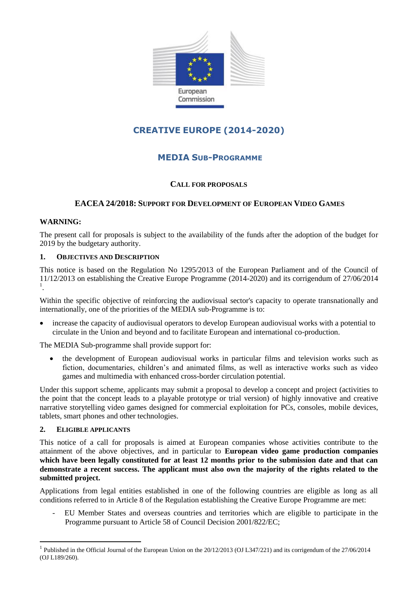

# **CREATIVE EUROPE (2014-2020)**

# **MEDIA SUB-PROGRAMME**

# **CALL FOR PROPOSALS**

# **EACEA 24/2018: SUPPORT FOR DEVELOPMENT OF EUROPEAN VIDEO GAMES**

## **WARNING:**

The present call for proposals is subject to the availability of the funds after the adoption of the budget for 2019 by the budgetary authority.

## **1. OBJECTIVES AND DESCRIPTION**

This notice is based on the Regulation No 1295/2013 of the European Parliament and of the Council of 11/12/2013 on establishing the Creative Europe Programme (2014-2020) and its corrigendum of 27/06/2014 1 .

Within the specific objective of reinforcing the audiovisual sector's capacity to operate transnationally and internationally, one of the priorities of the MEDIA sub-Programme is to:

 increase the capacity of audiovisual operators to develop European audiovisual works with a potential to circulate in the Union and beyond and to facilitate European and international co-production.

The MEDIA Sub-programme shall provide support for:

 the development of European audiovisual works in particular films and television works such as fiction, documentaries, children's and animated films, as well as interactive works such as video games and multimedia with enhanced cross-border circulation potential.

Under this support scheme, applicants may submit a proposal to develop a concept and project (activities to the point that the concept leads to a playable prototype or trial version) of highly innovative and creative narrative storytelling video games designed for commercial exploitation for PCs, consoles, mobile devices, tablets, smart phones and other technologies.

#### **2. ELIGIBLE APPLICANTS**

1

This notice of a call for proposals is aimed at European companies whose activities contribute to the attainment of the above objectives, and in particular to **European video game production companies which have been legally constituted for at least 12 months prior to the submission date and that can demonstrate a recent success. The applicant must also own the majority of the rights related to the submitted project.**

Applications from legal entities established in one of the following countries are eligible as long as all conditions referred to in Article 8 of the Regulation establishing the Creative Europe Programme are met:

- EU Member States and overseas countries and territories which are eligible to participate in the Programme pursuant to Article 58 of Council Decision 2001/822/EC;

<sup>1</sup> Published in the Official Journal of the European Union on the 20/12/2013 (OJ L347/221) and its corrigendum of the 27/06/2014 (OJ L189/260).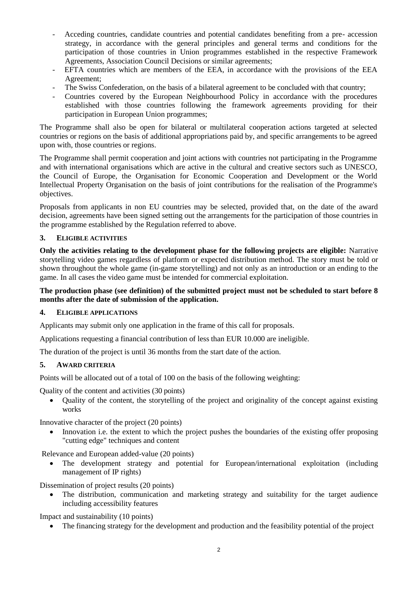- Acceding countries, candidate countries and potential candidates benefiting from a pre- accession strategy, in accordance with the general principles and general terms and conditions for the participation of those countries in Union programmes established in the respective Framework Agreements, Association Council Decisions or similar agreements;
- EFTA countries which are members of the EEA, in accordance with the provisions of the EEA Agreement;
- The Swiss Confederation, on the basis of a bilateral agreement to be concluded with that country;
- Countries covered by the European Neighbourhood Policy in accordance with the procedures established with those countries following the framework agreements providing for their participation in European Union programmes;

The Programme shall also be open for bilateral or multilateral cooperation actions targeted at selected countries or regions on the basis of additional appropriations paid by, and specific arrangements to be agreed upon with, those countries or regions.

The Programme shall permit cooperation and joint actions with countries not participating in the Programme and with international organisations which are active in the cultural and creative sectors such as UNESCO, the Council of Europe, the Organisation for Economic Cooperation and Development or the World Intellectual Property Organisation on the basis of joint contributions for the realisation of the Programme's objectives.

Proposals from applicants in non EU countries may be selected, provided that, on the date of the award decision, agreements have been signed setting out the arrangements for the participation of those countries in the programme established by the Regulation referred to above.

# **3. ELIGIBLE ACTIVITIES**

**Only the activities relating to the development phase for the following projects are eligible:** Narrative storytelling video games regardless of platform or expected distribution method. The story must be told or shown throughout the whole game (in-game storytelling) and not only as an introduction or an ending to the game. In all cases the video game must be intended for commercial exploitation.

## **The production phase (see definition) of the submitted project must not be scheduled to start before 8 months after the date of submission of the application.**

# **4. ELIGIBLE APPLICATIONS**

Applicants may submit only one application in the frame of this call for proposals.

Applications requesting a financial contribution of less than EUR 10.000 are ineligible.

The duration of the project is until 36 months from the start date of the action.

#### **5. AWARD CRITERIA**

Points will be allocated out of a total of 100 on the basis of the following weighting:

Quality of the content and activities (30 points)

 Quality of the content, the storytelling of the project and originality of the concept against existing works

Innovative character of the project (20 points)

 Innovation i.e. the extent to which the project pushes the boundaries of the existing offer proposing "cutting edge" techniques and content

Relevance and European added-value (20 points)

 The development strategy and potential for European/international exploitation (including management of IP rights)

Dissemination of project results (20 points)

 The distribution, communication and marketing strategy and suitability for the target audience including accessibility features

Impact and sustainability (10 points)

The financing strategy for the development and production and the feasibility potential of the project